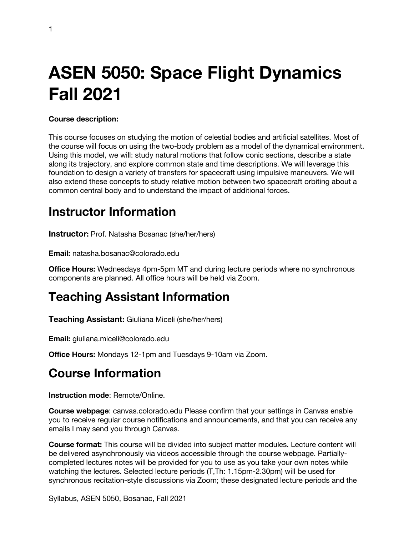# **ASEN 5050: Space Flight Dynamics Fall 2021**

#### **Course description:**

This course focuses on studying the motion of celestial bodies and artificial satellites. Most of the course will focus on using the two-body problem as a model of the dynamical environment. Using this model, we will: study natural motions that follow conic sections, describe a state along its trajectory, and explore common state and time descriptions. We will leverage this foundation to design a variety of transfers for spacecraft using impulsive maneuvers. We will also extend these concepts to study relative motion between two spacecraft orbiting about a common central body and to understand the impact of additional forces.

### **Instructor Information**

**Instructor:** Prof. Natasha Bosanac (she/her/hers)

**Email:** natasha.bosanac@colorado.edu

**Office Hours:** Wednesdays 4pm-5pm MT and during lecture periods where no synchronous components are planned. All office hours will be held via Zoom.

### **Teaching Assistant Information**

**Teaching Assistant:** Giuliana Miceli (she/her/hers)

**Email:** giuliana.miceli@colorado.edu

**Office Hours:** Mondays 12-1pm and Tuesdays 9-10am via Zoom.

### **Course Information**

**Instruction mode**: Remote/Online.

**Course webpage**: canvas.colorado.edu Please confirm that your settings in Canvas enable you to receive regular course notifications and announcements, and that you can receive any emails I may send you through Canvas.

**Course format:** This course will be divided into subject matter modules. Lecture content will be delivered asynchronously via videos accessible through the course webpage. Partiallycompleted lectures notes will be provided for you to use as you take your own notes while watching the lectures. Selected lecture periods (T,Th: 1.15pm-2.30pm) will be used for synchronous recitation-style discussions via Zoom; these designated lecture periods and the

Syllabus, ASEN 5050, Bosanac, Fall 2021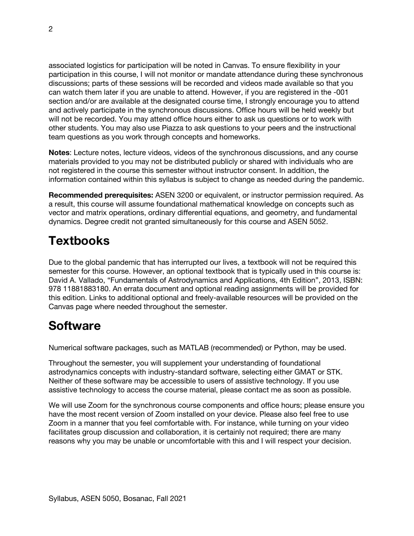associated logistics for participation will be noted in Canvas. To ensure flexibility in your participation in this course, I will not monitor or mandate attendance during these synchronous discussions; parts of these sessions will be recorded and videos made available so that you can watch them later if you are unable to attend. However, if you are registered in the -001 section and/or are available at the designated course time, I strongly encourage you to attend and actively participate in the synchronous discussions. Office hours will be held weekly but will not be recorded. You may attend office hours either to ask us questions or to work with other students. You may also use Piazza to ask questions to your peers and the instructional team questions as you work through concepts and homeworks.

**Notes**: Lecture notes, lecture videos, videos of the synchronous discussions, and any course materials provided to you may not be distributed publicly or shared with individuals who are not registered in the course this semester without instructor consent. In addition, the information contained within this syllabus is subject to change as needed during the pandemic.

**Recommended prerequisites:** ASEN 3200 or equivalent, or instructor permission required. As a result, this course will assume foundational mathematical knowledge on concepts such as vector and matrix operations, ordinary differential equations, and geometry, and fundamental dynamics. Degree credit not granted simultaneously for this course and ASEN 5052.

### **Textbooks**

Due to the global pandemic that has interrupted our lives, a textbook will not be required this semester for this course. However, an optional textbook that is typically used in this course is: David A. Vallado, "Fundamentals of Astrodynamics and Applications, 4th Edition", 2013, ISBN: 978 11881883180. An errata document and optional reading assignments will be provided for this edition. Links to additional optional and freely-available resources will be provided on the Canvas page where needed throughout the semester.

### **Software**

Numerical software packages, such as MATLAB (recommended) or Python, may be used.

Throughout the semester, you will supplement your understanding of foundational astrodynamics concepts with industry-standard software, selecting either GMAT or STK. Neither of these software may be accessible to users of assistive technology. If you use assistive technology to access the course material, please contact me as soon as possible.

We will use Zoom for the synchronous course components and office hours; please ensure you have the most recent version of Zoom installed on your device. Please also feel free to use Zoom in a manner that you feel comfortable with. For instance, while turning on your video facilitates group discussion and collaboration, it is certainly not required; there are many reasons why you may be unable or uncomfortable with this and I will respect your decision.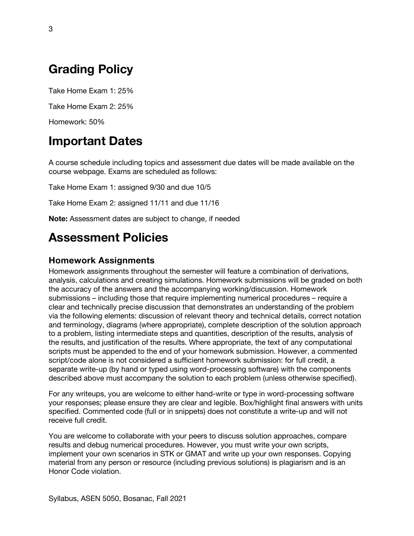# **Grading Policy**

Take Home Exam 1: 25%

Take Home Exam 2: 25%

Homework: 50%

### **Important Dates**

A course schedule including topics and assessment due dates will be made available on the course webpage. Exams are scheduled as follows:

Take Home Exam 1: assigned 9/30 and due 10/5

Take Home Exam 2: assigned 11/11 and due 11/16

**Note:** Assessment dates are subject to change, if needed

### **Assessment Policies**

#### **Homework Assignments**

Homework assignments throughout the semester will feature a combination of derivations, analysis, calculations and creating simulations. Homework submissions will be graded on both the accuracy of the answers and the accompanying working/discussion. Homework submissions – including those that require implementing numerical procedures – require a clear and technically precise discussion that demonstrates an understanding of the problem via the following elements: discussion of relevant theory and technical details, correct notation and terminology, diagrams (where appropriate), complete description of the solution approach to a problem, listing intermediate steps and quantities, description of the results, analysis of the results, and justification of the results. Where appropriate, the text of any computational scripts must be appended to the end of your homework submission. However, a commented script/code alone is not considered a sufficient homework submission: for full credit, a separate write-up (by hand or typed using word-processing software) with the components described above must accompany the solution to each problem (unless otherwise specified).

For any writeups, you are welcome to either hand-write or type in word-processing software your responses; please ensure they are clear and legible. Box/highlight final answers with units specified. Commented code (full or in snippets) does not constitute a write-up and will not receive full credit.

You are welcome to collaborate with your peers to discuss solution approaches, compare results and debug numerical procedures. However, you must write your own scripts, implement your own scenarios in STK or GMAT and write up your own responses. Copying material from any person or resource (including previous solutions) is plagiarism and is an Honor Code violation.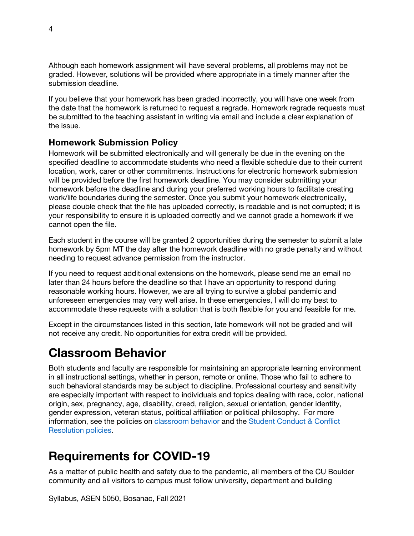Although each homework assignment will have several problems, all problems may not be graded. However, solutions will be provided where appropriate in a timely manner after the submission deadline.

If you believe that your homework has been graded incorrectly, you will have one week from the date that the homework is returned to request a regrade. Homework regrade requests must be submitted to the teaching assistant in writing via email and include a clear explanation of the issue.

#### **Homework Submission Policy**

Homework will be submitted electronically and will generally be due in the evening on the specified deadline to accommodate students who need a flexible schedule due to their current location, work, carer or other commitments. Instructions for electronic homework submission will be provided before the first homework deadline. You may consider submitting your homework before the deadline and during your preferred working hours to facilitate creating work/life boundaries during the semester. Once you submit your homework electronically, please double check that the file has uploaded correctly, is readable and is not corrupted; it is your responsibility to ensure it is uploaded correctly and we cannot grade a homework if we cannot open the file.

Each student in the course will be granted 2 opportunities during the semester to submit a late homework by 5pm MT the day after the homework deadline with no grade penalty and without needing to request advance permission from the instructor.

If you need to request additional extensions on the homework, please send me an email no later than 24 hours before the deadline so that I have an opportunity to respond during reasonable working hours. However, we are all trying to survive a global pandemic and unforeseen emergencies may very well arise. In these emergencies, I will do my best to accommodate these requests with a solution that is both flexible for you and feasible for me.

Except in the circumstances listed in this section, late homework will not be graded and will not receive any credit. No opportunities for extra credit will be provided.

### **Classroom Behavior**

Both students and faculty are responsible for maintaining an appropriate learning environment in all instructional settings, whether in person, remote or online. Those who fail to adhere to such behavioral standards may be subject to discipline. Professional courtesy and sensitivity are especially important with respect to individuals and topics dealing with race, color, national origin, sex, pregnancy, age, disability, creed, religion, sexual orientation, gender identity, gender expression, veteran status, political affiliation or political philosophy. For more information, see the policies on classroom behavior and the Student Conduct & Conflict Resolution policies.

## **Requirements for COVID-19**

As a matter of public health and safety due to the pandemic, all members of the CU Boulder community and all visitors to campus must follow university, department and building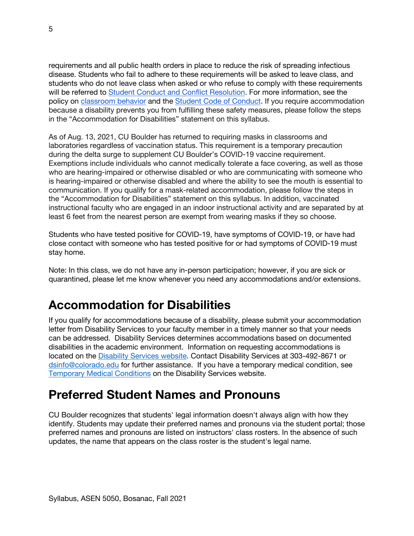requirements and all public health orders in place to reduce the risk of spreading infectious disease. Students who fail to adhere to these requirements will be asked to leave class, and students who do not leave class when asked or who refuse to comply with these requirements will be referred to Student Conduct and Conflict Resolution. For more information, see the policy on classroom behavior and the Student Code of Conduct. If you require accommodation because a disability prevents you from fulfilling these safety measures, please follow the steps in the "Accommodation for Disabilities" statement on this syllabus.

As of Aug. 13, 2021, CU Boulder has returned to requiring masks in classrooms and laboratories regardless of vaccination status. This requirement is a temporary precaution during the delta surge to supplement CU Boulder's COVID-19 vaccine requirement. Exemptions include individuals who cannot medically tolerate a face covering, as well as those who are hearing-impaired or otherwise disabled or who are communicating with someone who is hearing-impaired or otherwise disabled and where the ability to see the mouth is essential to communication. If you qualify for a mask-related accommodation, please follow the steps in the "Accommodation for Disabilities" statement on this syllabus. In addition, vaccinated instructional faculty who are engaged in an indoor instructional activity and are separated by at least 6 feet from the nearest person are exempt from wearing masks if they so choose.

Students who have tested positive for COVID-19, have symptoms of COVID-19, or have had close contact with someone who has tested positive for or had symptoms of COVID-19 must stay home.

Note: In this class, we do not have any in-person participation; however, if you are sick or quarantined, please let me know whenever you need any accommodations and/or extensions.

## **Accommodation for Disabilities**

If you qualify for accommodations because of a disability, please submit your accommodation letter from Disability Services to your faculty member in a timely manner so that your needs can be addressed. Disability Services determines accommodations based on documented disabilities in the academic environment. Information on requesting accommodations is located on the Disability Services website. Contact Disability Services at 303-492-8671 or dsinfo@colorado.edu for further assistance. If you have a temporary medical condition, see Temporary Medical Conditions on the Disability Services website.

## **Preferred Student Names and Pronouns**

CU Boulder recognizes that students' legal information doesn't always align with how they identify. Students may update their preferred names and pronouns via the student portal; those preferred names and pronouns are listed on instructors' class rosters. In the absence of such updates, the name that appears on the class roster is the student's legal name.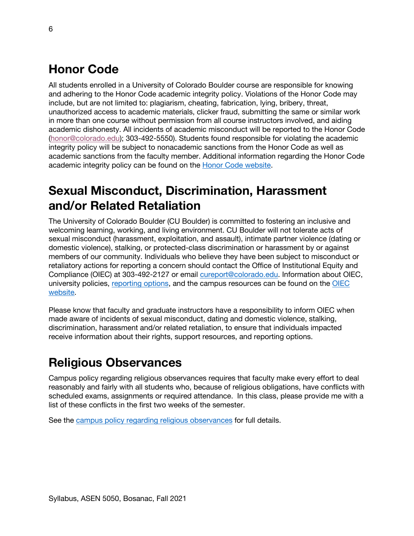# **Honor Code**

All students enrolled in a University of Colorado Boulder course are responsible for knowing and adhering to the Honor Code academic integrity policy. Violations of the Honor Code may include, but are not limited to: plagiarism, cheating, fabrication, lying, bribery, threat, unauthorized access to academic materials, clicker fraud, submitting the same or similar work in more than one course without permission from all course instructors involved, and aiding academic dishonesty. All incidents of academic misconduct will be reported to the Honor Code (honor@colorado.edu); 303-492-5550). Students found responsible for violating the academic integrity policy will be subject to nonacademic sanctions from the Honor Code as well as academic sanctions from the faculty member. Additional information regarding the Honor Code academic integrity policy can be found on the Honor Code website.

# **Sexual Misconduct, Discrimination, Harassment and/or Related Retaliation**

The University of Colorado Boulder (CU Boulder) is committed to fostering an inclusive and welcoming learning, working, and living environment. CU Boulder will not tolerate acts of sexual misconduct (harassment, exploitation, and assault), intimate partner violence (dating or domestic violence), stalking, or protected-class discrimination or harassment by or against members of our community. Individuals who believe they have been subject to misconduct or retaliatory actions for reporting a concern should contact the Office of Institutional Equity and Compliance (OIEC) at 303-492-2127 or email cureport@colorado.edu. Information about OIEC, university policies, reporting options, and the campus resources can be found on the OIEC website.

Please know that faculty and graduate instructors have a responsibility to inform OIEC when made aware of incidents of sexual misconduct, dating and domestic violence, stalking, discrimination, harassment and/or related retaliation, to ensure that individuals impacted receive information about their rights, support resources, and reporting options.

# **Religious Observances**

Campus policy regarding religious observances requires that faculty make every effort to deal reasonably and fairly with all students who, because of religious obligations, have conflicts with scheduled exams, assignments or required attendance. In this class, please provide me with a list of these conflicts in the first two weeks of the semester.

See the campus policy regarding religious observances for full details.